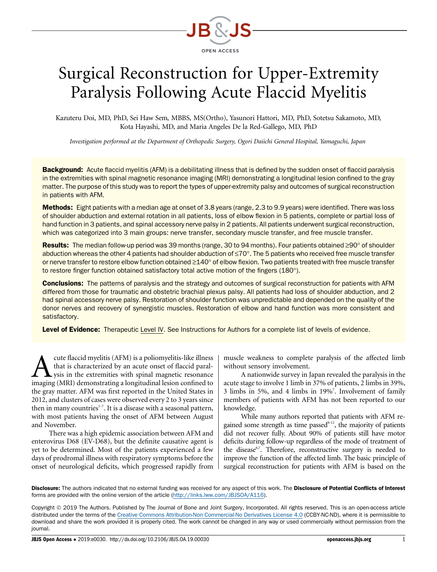

# Surgical Reconstruction for Upper-Extremity Paralysis Following Acute Flaccid Myelitis

Kazuteru Doi, MD, PhD, Sei Haw Sem, MBBS, MS(Ortho), Yasunori Hattori, MD, PhD, Sotetsu Sakamoto, MD, Kota Hayashi, MD, and Maria Angeles De la Red-Gallego, MD, PhD

Investigation performed at the Department of Orthopedic Surgery, Ogori Daiichi General Hospital, Yamaguchi, Japan

Background: Acute flaccid myelitis (AFM) is a debilitating illness that is defined by the sudden onset of flaccid paralysis in the extremities with spinal magnetic resonance imaging (MRI) demonstrating a longitudinal lesion confined to the gray matter. The purpose of this study was to report the types of upper-extremity palsy and outcomes of surgical reconstruction in patients with AFM.

Methods: Eight patients with a median age at onset of 3.8 years (range, 2.3 to 9.9 years) were identified. There was loss of shoulder abduction and external rotation in all patients, loss of elbow flexion in 5 patients, complete or partial loss of hand function in 3 patients, and spinal accessory nerve palsy in 2 patients. All patients underwent surgical reconstruction, which was categorized into 3 main groups: nerve transfer, secondary muscle transfer, and free muscle transfer.

Results: The median follow-up period was 39 months (range, 30 to 94 months). Four patients obtained ≥90° of shoulder abduction whereas the other 4 patients had shoulder abduction of  $\leq 70^{\circ}$ . The 5 patients who received free muscle transfer or nerve transfer to restore elbow function obtained  $\geq 140^\circ$  of elbow flexion. Two patients treated with free muscle transfer to restore finger function obtained satisfactory total active motion of the fingers (180°).

**Conclusions:** The patterns of paralysis and the strategy and outcomes of surgical reconstruction for patients with AFM differed from those for traumatic and obstetric brachial plexus palsy. All patients had loss of shoulder abduction, and 2 had spinal accessory nerve palsy. Restoration of shoulder function was unpredictable and depended on the quality of the donor nerves and recovery of synergistic muscles. Restoration of elbow and hand function was more consistent and satisfactory.

Level of Evidence: Therapeutic Level IV. See Instructions for Authors for a complete list of levels of evidence.

Let the flaccid myelitis (AFM) is a poliomyelitis-like illness<br>that is characterized by an acute onset of flaccid paral-<br>imaging (MRI) demonstrating a longitudinal lesion confined to that is characterized by an acute onset of flaccid paralysis in the extremities with spinal magnetic resonance imaging (MRI) demonstrating a longitudinal lesion confined to the gray matter. AFM was first reported in the United States in 2012, and clusters of cases were observed every 2 to 3 years since then in many countries<sup>1-7</sup>. It is a disease with a seasonal pattern, with most patients having the onset of AFM between August and November.

There was a high epidemic association between AFM and enterovirus D68 (EV-D68), but the definite causative agent is yet to be determined. Most of the patients experienced a few days of prodromal illness with respiratory symptoms before the onset of neurological deficits, which progressed rapidly from

muscle weakness to complete paralysis of the affected limb without sensory involvement.

A nationwide survey in Japan revealed the paralysis in the acute stage to involve 1 limb in 37% of patients, 2 limbs in 39%, 3 limbs in 5%, and 4 limbs in 19%7 . Involvement of family members of patients with AFM has not been reported to our knowledge.

While many authors reported that patients with AFM regained some strength as time passed $8-12$ , the majority of patients did not recover fully. About 90% of patients still have motor deficits during follow-up regardless of the mode of treatment of the disease<sup> $67$ </sup>. Therefore, reconstructive surgery is needed to improve the function of the affected limb. The basic principle of surgical reconstruction for patients with AFM is based on the

Disclosure: The authors indicated that no external funding was received for any aspect of this work. The Disclosure of Potential Conflicts of Interest forms are provided with the online version of the article (<http://links.lww.com/JBJSOA/A116>).

Copyright 2019 The Authors. Published by The Journal of Bone and Joint Surgery, Incorporated. All rights reserved. This is an open-access article distributed under the terms of the [Creative Commons Attribution-Non Commercial-No Derivatives License 4.0](http://creativecommons.org/licenses/by-nc-nd/4.0/) (CCBY-NC-ND), where it is permissible to download and share the work provided it is properly cited. The work cannot be changed in any way or used commercially without permission from the journal.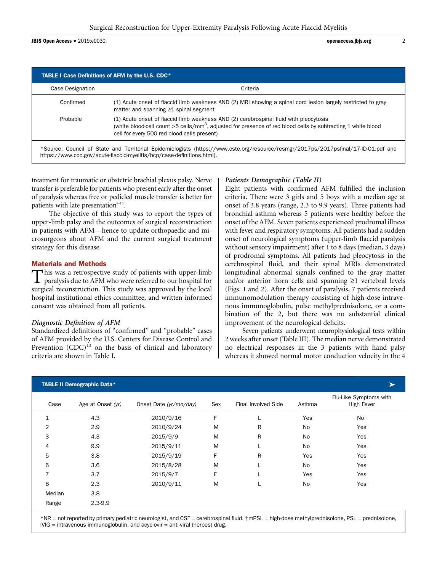JBJS Open Access <sup>d</sup> 2019:e0030. openaccess.jbjs.org <sup>2</sup>

| Case Designation | Criteria                                                                                                                                                                                                                                                         |
|------------------|------------------------------------------------------------------------------------------------------------------------------------------------------------------------------------------------------------------------------------------------------------------|
| Confirmed        | (1) Acute onset of flaccid limb weakness AND (2) MRI showing a spinal cord lesion largely restricted to gray<br>matter and spanning $\geq 1$ spinal segment                                                                                                      |
| Probable         | (1) Acute onset of flaccid limb weakness AND (2) cerebrospinal fluid with pleocytosis<br>(white blood-cell count >5 cells/mm <sup>3</sup> , adjusted for presence of red blood cells by subtracting 1 white blood<br>cell for every 500 red blood cells present) |

treatment for traumatic or obstetric brachial plexus palsy. Nerve transfer is preferable for patients who present early after the onset of paralysis whereas free or pedicled muscle transfer is better for patients with late presentation $8-13$ .

The objective of this study was to report the types of upper-limb palsy and the outcomes of surgical reconstruction in patients with AFM—hence to update orthopaedic and microsurgeons about AFM and the current surgical treatment strategy for this disease.

# Materials and Methods

This was a retrospective study of patients with upper-limb paralysis due to AFM who were referred to our hospital for surgical reconstruction. This study was approved by the local hospital institutional ethics committee, and written informed consent was obtained from all patients.

# Diagnostic Definition of AFM

Standardized definitions of "confirmed" and "probable" cases of AFM provided by the U.S. Centers for Disease Control and Prevention  $(CDC)^{1,2}$  on the basis of clinical and laboratory criteria are shown in Table I.

# Patients Demographic (Table II)

Eight patients with confirmed AFM fulfilled the inclusion criteria. There were 3 girls and 5 boys with a median age at onset of 3.8 years (range, 2.3 to 9.9 years). Three patients had bronchial asthma whereas 5 patients were healthy before the onset of the AFM. Seven patients experienced prodromal illness with fever and respiratory symptoms. All patients had a sudden onset of neurological symptoms (upper-limb flaccid paralysis without sensory impairment) after 1 to 8 days (median, 3 days) of prodromal symptoms. All patients had pleocytosis in the cerebrospinal fluid, and their spinal MRIs demonstrated longitudinal abnormal signals confined to the gray matter and/or anterior horn cells and spanning  $\geq 1$  vertebral levels (Figs. 1 and 2). After the onset of paralysis, 7 patients received immunomodulation therapy consisting of high-dose intravenous immunoglobulin, pulse methylprednisolone, or a combination of the 2, but there was no substantial clinical improvement of the neurological deficits.

Seven patients underwent neurophysiological tests within 2 weeks after onset (Table III). The median nerve demonstrated no electrical responses in the 3 patients with hand palsy whereas it showed normal motor conduction velocity in the 4

|                | <b>TABLE II Demographic Data*</b> |                        |     |                     |        |                                      |
|----------------|-----------------------------------|------------------------|-----|---------------------|--------|--------------------------------------|
| Case           | Age at Onset (yr)                 | Onset Date (yr/mo/day) | Sex | Final Involved Side | Asthma | Flu-Like Symptoms with<br>High Fever |
| $\mathbf{1}$   | 4.3                               | 2010/9/16              | F   |                     | Yes    | No                                   |
| $\overline{2}$ | 2.9                               | 2010/9/24              | M   | R                   | No     | Yes                                  |
| 3              | 4.3                               | 2015/9/9               | M   | R                   | No     | Yes                                  |
| 4              | 9.9                               | 2015/9/11              | M   |                     | No     | Yes                                  |
| 5              | 3.8                               | 2015/9/19              | F   | R                   | Yes    | Yes                                  |
| 6              | 3.6                               | 2015/8/28              | M   |                     | No     | Yes                                  |
| $\overline{7}$ | 3.7                               | 2015/9/7               | F.  |                     | Yes    | Yes                                  |
| 8              | 2.3                               | 2010/9/11              | M   |                     | No     | Yes                                  |
| Median         | 3.8                               |                        |     |                     |        |                                      |
| Range          | $2.3 - 9.9$                       |                        |     |                     |        |                                      |

\*NR = not reported by primary pediatric neurologist, and CSF = cerebrospinal fluid. †mPSL = high-dose methylprednisolone, PSL = prednisolone, IVIG = intravenous immunoglobulin, and acyclovir = anti-viral (herpes) drug.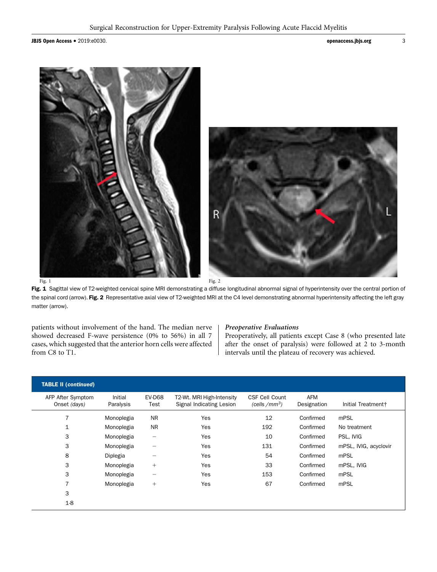JBJS Open Access • 2019:e0030. **3** 



Fig. 1 Sagittal view of T2-weighted cervical spine MRI demonstrating a diffuse longitudinal abnormal signal of hyperintensity over the central portion of the spinal cord (arrow). Fig. 2 Representative axial view of T2-weighted MRI at the C4 level demonstrating abnormal hyperintensity affecting the left gray matter (arrow).

patients without involvement of the hand. The median nerve showed decreased F-wave persistence (0% to 56%) in all 7 cases, which suggested that the anterior horn cells were affected from C8 to T1.

#### Preoperative Evaluations

Preoperatively, all patients except Case 8 (who presented late after the onset of paralysis) were followed at 2 to 3-month intervals until the plateau of recovery was achieved.

| <b>TABLE II (continued)</b>       |                      |                          |                                                       |                                           |                           |                       |
|-----------------------------------|----------------------|--------------------------|-------------------------------------------------------|-------------------------------------------|---------------------------|-----------------------|
| AFP After Symptom<br>Onset (days) | Initial<br>Paralysis | <b>EV-D68</b><br>Test    | T2-Wt. MRI High-Intensity<br>Signal Indicating Lesion | <b>CSF Cell Count</b><br>(cells / $mm3$ ) | <b>AFM</b><br>Designation | Initial Treatment+    |
| 7                                 | Monoplegia           | <b>NR</b>                | Yes                                                   | 12                                        | Confirmed                 | mPSL                  |
| 1                                 | Monoplegia           | <b>NR</b>                | Yes                                                   | 192                                       | Confirmed                 | No treatment          |
| 3                                 | Monoplegia           | $\overline{\phantom{0}}$ | Yes                                                   | 10                                        | Confirmed                 | PSL, IVIG             |
| 3                                 | Monoplegia           | $\qquad \qquad$          | Yes                                                   | 131                                       | Confirmed                 | mPSL, IVIG, acyclovir |
| 8                                 | Diplegia             |                          | Yes                                                   | 54                                        | Confirmed                 | mPSL                  |
| 3                                 | Monoplegia           | $^{+}$                   | Yes                                                   | 33                                        | Confirmed                 | mPSL, IVIG            |
| 3                                 | Monoplegia           | $\qquad \qquad$          | Yes                                                   | 153                                       | Confirmed                 | mPSL                  |
|                                   | Monoplegia           | $^{+}$                   | Yes                                                   | 67                                        | Confirmed                 | mPSL                  |
| 3                                 |                      |                          |                                                       |                                           |                           |                       |
| $1-8$                             |                      |                          |                                                       |                                           |                           |                       |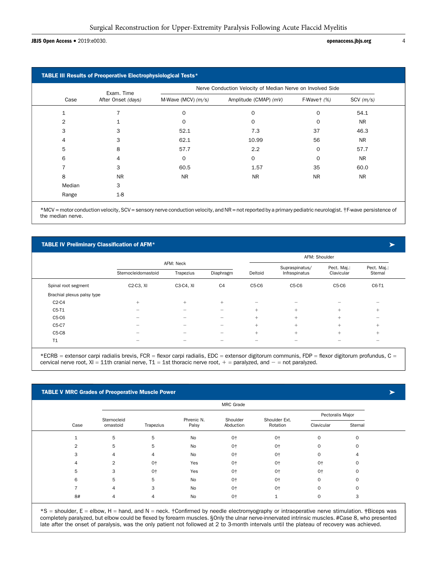#### JBJS Open Access • 2019:e0030. **and 2019:edges** 4 and 2019:edges and 2019:edges 4 and 2019:edges.jbjs.org 4 and 2019:edges 4 and 2019:edges 5 and 2019:edges 4 and 2019:edges 4 and 2019:edges 4 and 2019:edges 4 and 2019:edg

|        | Exam. Time         | Nerve Conduction Velocity of Median Nerve on Involved Side |                       |                 |                 |  |  |  |  |
|--------|--------------------|------------------------------------------------------------|-----------------------|-----------------|-----------------|--|--|--|--|
| Case   | After Onset (days) | M-Wave (MCV) $(m/s)$                                       | Amplitude (CMAP) (mV) | $F-Waver$ $(%)$ | $SCV$ ( $m/s$ ) |  |  |  |  |
| 1      |                    | $\mathbf 0$                                                | 0                     | $\Omega$        | 54.1            |  |  |  |  |
| 2      |                    | $\Omega$                                                   | $\Omega$              | $\Omega$        | <b>NR</b>       |  |  |  |  |
| 3      | 3                  | 52.1                                                       | 7.3                   | 37              | 46.3            |  |  |  |  |
| 4      | 3                  | 62.1                                                       | 10.99                 | 56              | <b>NR</b>       |  |  |  |  |
| 5      | 8                  | 57.7                                                       | 2.2                   | 0               | 57.7            |  |  |  |  |
| 6      | 4                  | $\mathbf 0$                                                | 0                     | $\Omega$        | <b>NR</b>       |  |  |  |  |
|        | 3                  | 60.5                                                       | 1.57                  | 35              | 60.0            |  |  |  |  |
| 8      | <b>NR</b>          | <b>NR</b>                                                  | <b>NR</b>             | <b>NR</b>       | <b>NR</b>       |  |  |  |  |
| Median | 3                  |                                                            |                       |                 |                 |  |  |  |  |
| Range  | $1-8$              |                                                            |                       |                 |                 |  |  |  |  |

\*MCV = motor conduction velocity, SCV = sensory nerve conduction velocity, and NR = not reported by a primary pediatric neurologist. †F-wave persistence of the median nerve.

#### TABLE IV Preliminary Classification of AFM\*

|                            |                                     |                          |                          |         | AFM: Shoulder  |             |                          |
|----------------------------|-------------------------------------|--------------------------|--------------------------|---------|----------------|-------------|--------------------------|
|                            |                                     | AFM: Neck                |                          |         | Supraspinatus/ | Pect. Maj.: | Pect. Maj.:              |
|                            | Sternocleidomastoid                 | Trapezius                | Diaphragm                | Deltoid | Infraspinatus  | Clavicular  | Sternal                  |
| Spinal root segment        | C <sub>2</sub> -C <sub>3</sub> , XI | C3-C4, XI                | C <sub>4</sub>           | $C5-C6$ | $C5-C6$        | $C5-C6$     | C6-T1                    |
| Brachial plexus palsy type |                                     |                          |                          |         |                |             |                          |
| $C2-C4$                    | $+$                                 | $^{+}$                   | $^{+}$                   |         |                |             |                          |
| C5-T1                      |                                     | –                        |                          | $+$     | $+$            | $^{+}$      | $^{+}$                   |
| $C5-C6$                    | -                                   | $\overline{\phantom{0}}$ | -                        | $+$     | $+$            | $^{+}$      | $\overline{\phantom{0}}$ |
| C5-C7                      | $\overline{\phantom{0}}$            | $\overline{\phantom{0}}$ | $\overline{\phantom{0}}$ | $+$     | $+$            | $+$         | $^{+}$                   |
| $C5-C8$                    | -                                   | -                        | —                        | $+$     | $+$            | $^{+}$      | $+$                      |
| T1                         |                                     |                          |                          |         |                |             |                          |

\*ECRB = extensor carpi radialis brevis, FCR = flexor carpi radialis, EDC = extensor digitorum communis, FDP = flexor digitorum profundus, C = cervical nerve root,  $XI = 11$ th cranial nerve,  $T1 = 1$ st thoracic nerve root,  $+$  = paralyzed, and  $-$  = not paralyzed.

#### TABLE V MRC Grades of Preoperative Muscle Power

|                |             |           |            | MRC Grade |               |                  |          |
|----------------|-------------|-----------|------------|-----------|---------------|------------------|----------|
|                | Sternocleid |           | Phrenic N. | Shoulder  | Shoulder Ext. | Pectoralis Major |          |
| Case           | omastoid    | Trapezius | Palsy      | Abduction | Rotation      | Clavicular       | Sternal  |
| $\overline{ }$ | 5           | 5         | No         | $0+$      | $0+$          | $\mathbf 0$      | $\Omega$ |
| 2              | 5           | 5         | No         | $0+$      | $0+$          | $\mathbf 0$      | C        |
| 3              | 4           | 4         | No         | $0+$      | $0+$          | $\mathbf 0$      | 4        |
| 4              | 2           | $0+$      | Yes        | $0+$      | $0+$          | $0+$             | C        |
| 5              | 3           | $0+$      | Yes        | $0+$      | $0+$          | $0+$             | C        |
| 6              | 5           | 5         | No         | $0+$      | $0+$          | $\mathbf 0$      |          |
|                | 4           | 3         | No         | $0+$      | $0+$          | $\mathbf 0$      |          |
| 8#             | 4           | 4         | No         | $0+$      |               | $\mathbf 0$      |          |

\*S = shoulder, E = elbow, H = hand, and N = neck. †Confirmed by needle electromyography or intraoperative nerve stimulation. ‡Biceps was completely paralyzed, but elbow could be flexed by forearm muscles. §Only the ulnar nerve-innervated intrinsic muscles. #Case 8, who presented late after the onset of paralysis, was the only patient not followed at 2 to 3-month intervals until the plateau of recovery was achieved.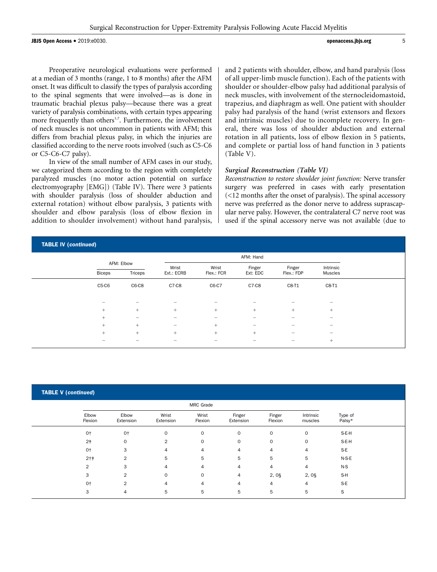**JBJS Open Access •** 2019:e0030. **b** 5

Preoperative neurological evaluations were performed at a median of 3 months (range, 1 to 8 months) after the AFM onset. It was difficult to classify the types of paralysis according to the spinal segments that were involved—as is done in traumatic brachial plexus palsy—because there was a great variety of paralysis combinations, with certain types appearing more frequently than others<sup>1,7</sup>. Furthermore, the involvement of neck muscles is not uncommon in patients with AFM; this differs from brachial plexus palsy, in which the injuries are classified according to the nerve roots involved (such as C5-C6 or C5-C6-C7 palsy).

In view of the small number of AFM cases in our study, we categorized them according to the region with completely paralyzed muscles (no motor action potential on surface electromyography [EMG]) (Table IV). There were 3 patients with shoulder paralysis (loss of shoulder abduction and external rotation) without elbow paralysis, 3 patients with shoulder and elbow paralysis (loss of elbow flexion in addition to shoulder involvement) without hand paralysis, and 2 patients with shoulder, elbow, and hand paralysis (loss of all upper-limb muscle function). Each of the patients with shoulder or shoulder-elbow palsy had additional paralysis of neck muscles, with involvement of the sternocleidomastoid, trapezius, and diaphragm as well. One patient with shoulder palsy had paralysis of the hand (wrist extensors and flexors and intrinsic muscles) due to incomplete recovery. In general, there was loss of shoulder abduction and external rotation in all patients, loss of elbow flexion in 5 patients, and complete or partial loss of hand function in 3 patients (Table V).

#### Surgical Reconstruction (Table VI)

Reconstruction to restore shoulder joint function: Nerve transfer surgery was preferred in cases with early presentation (<12 months after the onset of paralysis). The spinal accessory nerve was preferred as the donor nerve to address suprascapular nerve palsy. However, the contralateral C7 nerve root was used if the spinal accessory nerve was not available (due to

| <b>TABLE IV (continued)</b> |                          |                          |                                |                                |                          |                              |                          |  |
|-----------------------------|--------------------------|--------------------------|--------------------------------|--------------------------------|--------------------------|------------------------------|--------------------------|--|
|                             |                          |                          |                                |                                |                          |                              |                          |  |
|                             | <b>Biceps</b>            | AFM: Elbow<br>Triceps    | Wrist<br>Ext.: ECRB            | Wrist<br>Flex.: FCR            | Finger<br>Ext: EDC       | Finger<br>Flex.: FDP         | Intrinsic<br>Muscles     |  |
|                             | C5-C6                    | $C6-C8$                  | C7-C8                          | C6-C7                          | C7-C8                    | C8-T1                        | C8-T1                    |  |
|                             | $\overline{\phantom{0}}$ | -                        | -                              |                                | $\overline{\phantom{0}}$ | $\overline{\phantom{0}}$     | –                        |  |
|                             | $^{+}$                   | $+$                      | $+$                            | $+$                            | $+$                      | $+$                          | $+$                      |  |
|                             | $+$                      | $\overline{\phantom{0}}$ |                                |                                |                          | $\overline{\phantom{0}}$     |                          |  |
|                             | $+$                      | $+$                      | $\qquad \qquad \longleftarrow$ | $+$                            | $\overline{\phantom{a}}$ | $\qquad \qquad \blacksquare$ | $\equiv$                 |  |
|                             | $+$                      | $+$                      | $+$                            | $+$                            | $+$                      | $\qquad \qquad \blacksquare$ | $\overline{\phantom{0}}$ |  |
|                             | $\overline{\phantom{0}}$ | $\overline{\phantom{0}}$ | $\equiv$                       | $\qquad \qquad \longleftarrow$ | $\overline{\phantom{a}}$ | $\qquad \qquad \blacksquare$ | $+$                      |  |

|                  |                    |                    | MRC Grade        |                     |                   |                      |                   |
|------------------|--------------------|--------------------|------------------|---------------------|-------------------|----------------------|-------------------|
| Elbow<br>Flexion | Elbow<br>Extension | Wrist<br>Extension | Wrist<br>Flexion | Finger<br>Extension | Finger<br>Flexion | Intrinsic<br>muscles | Type of<br>Palsy* |
| $0+$             | $0+$               | $\mathbf 0$        | $\mathbf 0$      | $\mathbf 0$         | $\mathbf 0$       | $\Omega$             | S-E-H             |
| 2 <sup>†</sup>   | $\mathbf 0$        | $\overline{2}$     | $\mathbf 0$      | $\mathbf 0$         | $\circ$           | $\mathbf 0$          | S-E-H             |
| $0+$             | 3                  | 4                  | 4                | 4                   | 4                 | 4                    | S-E               |
| $2 + 1$          | $\overline{2}$     | 5                  | 5                | 5                   | 5                 | 5                    | $N-S-E$           |
| 2                | 3                  | 4                  | 4                | 4                   | 4                 | 4                    | $N-S$             |
| 3                | 2                  | $\mathbf 0$        | $\mathbf 0$      | 4                   | $2,0\S$           | $2,0\S$              | S-H               |
| $0+$             | $\overline{2}$     | 4                  | 4                | 4                   | 4                 | 4                    | S-E               |
| 3                | 4                  | 5                  | 5                | 5                   | 5                 | 5                    | S                 |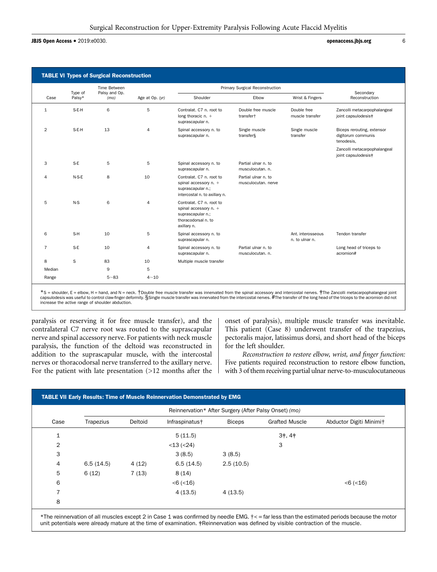JBJS Open Access <sup>d</sup> 2019:e0030. openaccess.jbjs.org <sup>6</sup>

|                |                   | Time Between          |                 |                                                                                                              | Primary Surgical Reconstruction             |                                     |                                                                |
|----------------|-------------------|-----------------------|-----------------|--------------------------------------------------------------------------------------------------------------|---------------------------------------------|-------------------------------------|----------------------------------------------------------------|
| Case           | Type of<br>Palsy* | Palsy and Op.<br>(mo) | Age at Op. (yr) | Shoulder                                                                                                     | Elbow                                       | Wrist & Fingers                     | Secondary<br>Reconstruction                                    |
| $\mathbf{1}$   | S-E-H             | 6                     | 5               | Contralat, C7 n. root to<br>long thoracic $n. +$<br>suprascapular n.                                         | Double free muscle<br>transfer <sup>+</sup> | Double free<br>muscle transfer      | Zancolli metacarpophalangeal<br>joint capsulodesis#            |
| $\overline{2}$ | S-E-H             | 13                    | $\overline{4}$  | Spinal accessory n. to<br>suprascapular n.                                                                   | Single muscle<br>transfer§                  | Single muscle<br>transfer           | Biceps rerouting, extensor<br>digitorum communis<br>tenodesis, |
|                |                   |                       |                 |                                                                                                              |                                             |                                     | Zancolli metacarpophalangeal<br>joint capsulodesis#            |
| 3              | $S-E$             | 5                     | 5               | Spinal accessory n. to<br>suprascapular n.                                                                   | Partial ulnar n. to<br>musculocutan. n.     |                                     |                                                                |
| 4              | $N-S-E$           | 8                     | 10              | Contralat, C7 n. root to<br>spinal accessory n. +<br>suprascapular n.;<br>intercostal n. to axillary n.      | Partial ulnar n. to<br>musculocutan, nerve  |                                     |                                                                |
| 5              | $N-S$             | 6                     | $\overline{4}$  | Contralat, C7 n. root to<br>spinal accessory n. +<br>suprascapular n.;<br>thoracodorsal n. to<br>axillary n. |                                             |                                     |                                                                |
| 6              | S-H               | 10                    | 5               | Spinal accessory n. to<br>suprascapular n.                                                                   |                                             | Ant. interosseous<br>n. to ulnar n. | Tendon transfer                                                |
| $\overline{7}$ | S-E               | 10                    | $\overline{4}$  | Spinal accessory n. to<br>suprascapular n.                                                                   | Partial ulnar n. to<br>musculocutan, n.     |                                     | Long head of triceps to<br>acromion#                           |
| 8              | S                 | 83                    | 10              | Multiple muscle transfer                                                                                     |                                             |                                     |                                                                |
| Median         |                   | 9                     | 5               |                                                                                                              |                                             |                                     |                                                                |
| Range          |                   | $5 - 83$              | $4 - 10$        |                                                                                                              |                                             |                                     |                                                                |

\*S = shoulder, E = elbow, H = hand, and N = neck. †Double free muscle transfer was innervated from the spinal accessory and intercostal nerves. ‡The Zancolli metacarpophalangeal joint capsulodesis was useful to control claw-finger deformity.§Single muscle transfer was innervated from the intercostal nerves.#The transfer of the long head of the triceps to the acromion did not increase the active range of shoulder abduction.

paralysis or reserving it for free muscle transfer), and the contralateral C7 nerve root was routed to the suprascapular nerve and spinal accessory nerve. For patients with neck muscle paralysis, the function of the deltoid was reconstructed in addition to the suprascapular muscle, with the intercostal nerves or thoracodorsal nerve transferred to the axillary nerve. For the patient with late presentation (>12 months after the onset of paralysis), multiple muscle transfer was inevitable. This patient (Case 8) underwent transfer of the trapezius, pectoralis major, latissimus dorsi, and short head of the biceps for the left shoulder.

Reconstruction to restore elbow, wrist, and finger function: Five patients required reconstruction to restore elbow function, with 3 of them receiving partial ulnar nerve-to-musculocutaneous

|                | Reinnervation* After Surgery (After Palsy Onset) (mo) |         |                            |               |                       |                         |  |  |  |  |  |
|----------------|-------------------------------------------------------|---------|----------------------------|---------------|-----------------------|-------------------------|--|--|--|--|--|
| Case           | Trapezius                                             | Deltoid | Infraspinatus <sup>+</sup> | <b>Biceps</b> | <b>Grafted Muscle</b> | Abductor Digiti Minimi+ |  |  |  |  |  |
| 1              |                                                       |         | 5(11.5)                    |               | $3\dagger, 4\dagger$  |                         |  |  |  |  |  |
| $\overline{2}$ |                                                       |         | $<$ 13 ( $<$ 24)           |               | 3                     |                         |  |  |  |  |  |
| 3              |                                                       |         | 3(8.5)                     | 3(8.5)        |                       |                         |  |  |  |  |  |
| 4              | 6.5(14.5)                                             | 4(12)   | 6.5(14.5)                  | 2.5(10.5)     |                       |                         |  |  |  |  |  |
| 5              | 6(12)                                                 | 7(13)   | 8(14)                      |               |                       |                         |  |  |  |  |  |
| 6              |                                                       |         | $< 6 (+16)$                |               |                       | $<$ 6 ( $<$ 16)         |  |  |  |  |  |
| $\overline{ }$ |                                                       |         | 4(13.5)                    | 4(13.5)       |                       |                         |  |  |  |  |  |

\*The reinnervation of all muscles except 2 in Case 1 was confirmed by needle EMG. †< = far less than the estimated periods because the motor unit potentials were already mature at the time of examination. ‡Reinnervation was defined by visible contraction of the muscle.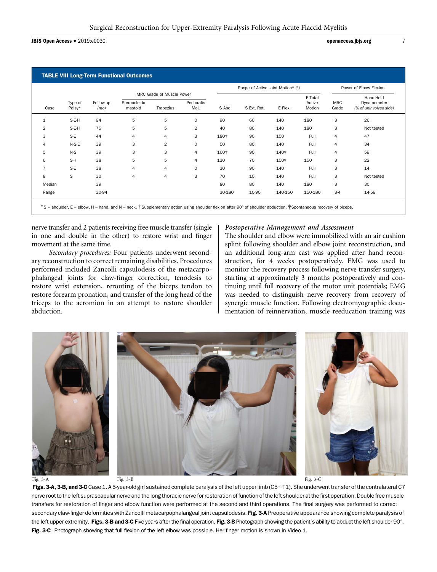**JBJS Open Access •** 2019:e0030. *per access.jbjs.org* 7

movement at the same time.

|                | Type of<br>Palsy* | Follow-up<br>(mo) |                         |                                        |                    |        | Range of Active Joint Motion* (°) |         | Power of Elbow Flexion      |                     |                                                    |
|----------------|-------------------|-------------------|-------------------------|----------------------------------------|--------------------|--------|-----------------------------------|---------|-----------------------------|---------------------|----------------------------------------------------|
| Case           |                   |                   | Sternocleido<br>mastoid | MRC Grade of Muscle Power<br>Trapezius | Pectoralis<br>Maj. | S Abd. | S Ext. Rot.                       | E Flex. | F Total<br>Active<br>Motion | <b>MRC</b><br>Grade | Hand-Held<br>Dynamometer<br>(% of uninvolved side) |
| 1              | S-E-H             | 94                | 5                       | 5                                      | $\Omega$           | 90     | 60                                | 140     | 180                         | 3                   | 26                                                 |
| 2              | S-E-H             | 75                | 5                       | 5                                      | 2                  | 40     | 80                                | 140     | 180                         | 3                   | Not tested                                         |
| 3              | S-E               | 44                | 4                       | 4                                      | 3                  | 180+   | 90                                | 150     | Full                        | $\overline{4}$      | 47                                                 |
| $\overline{4}$ | $N-S-E$           | 39                | 3                       | $\overline{2}$                         | $\mathbf 0$        | 50     | 80                                | 140     | Full                        | 4                   | 34                                                 |
| 5              | $N-S$             | 39                | 3                       | 3                                      | 4                  | 160+   | 90                                | 140+    | Full                        | 4                   | 59                                                 |
| 6              | S-H               | 38                | 5                       | 5                                      | 4                  | 130    | 70                                | 150+    | 150                         | 3                   | 22                                                 |
| $\overline{7}$ | S-E               | 38                | $\overline{4}$          | 4                                      | 0                  | 30     | 90                                | 140     | Full                        | 3                   | 14                                                 |
| 8              | S                 | 30                | $\overline{4}$          | 4                                      | 3                  | 70     | 10                                | 140     | Full                        | 3                   | Not tested                                         |
| Median         |                   | 39                |                         |                                        |                    | 80     | 80                                | 140     | 180                         | 3                   | 30                                                 |
| Range          |                   | 30-94             |                         |                                        |                    | 30-180 | 10-90                             | 140-150 | 150-180                     | $3-4$               | 14-59                                              |

nerve transfer and 2 patients receiving free muscle transfer (single in one and double in the other) to restore wrist and finger

Secondary procedures: Four patients underwent secondary reconstruction to correct remaining disabilities. Procedures performed included Zancolli capsulodesis of the metacarpophalangeal joints for claw-finger correction, tenodesis to restore wrist extension, rerouting of the biceps tendon to restore forearm pronation, and transfer of the long head of the triceps to the acromion in an attempt to restore shoulder abduction.

#### Postoperative Management and Assessment

The shoulder and elbow were immobilized with an air cushion splint following shoulder and elbow joint reconstruction, and an additional long-arm cast was applied after hand reconstruction, for 4 weeks postoperatively. EMG was used to monitor the recovery process following nerve transfer surgery, starting at approximately 3 months postoperatively and continuing until full recovery of the motor unit potentials; EMG was needed to distinguish nerve recovery from recovery of synergic muscle function. Following electromyographic documentation of reinnervation, muscle reeducation training was



Figs. 3-A, 3-B, and 3-C Case 1. A 5-year-old girl sustained complete paralysis of the left upper limb (C5 $\sim$ T1). She underwent transfer of the contralateral C7 nerve root to the left suprascapular nerve and the long thoracic nerve for restoration of function of the left shoulder at the first operation. Double free muscle transfers for restoration of finger and elbow function were performed at the second and third operations. The final surgery was performed to correct secondary claw-finger deformities with Zancolli metacarpophalangeal joint capsulodesis. Fig. 3-A Preoperative appearance showing complete paralysis of the left upper extremity. Figs. 3-B and 3-C Five years after the final operation. Fig. 3-B Photograph showing the patient's ability to abduct the left shoulder 90°. Fig. 3-C Photograph showing that full flexion of the left elbow was possible. Her finger motion is shown in Video 1.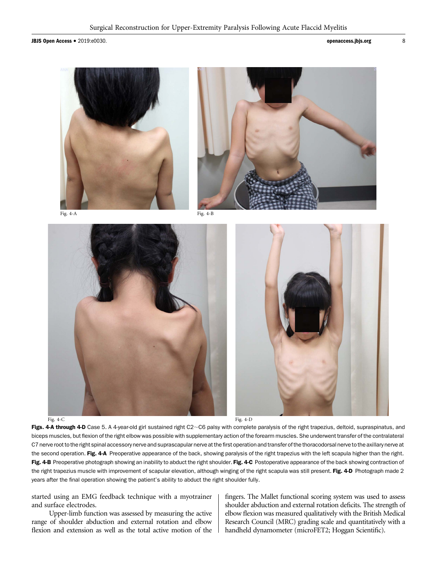**JBJS Open Access •** 2019:e0030. **and 2019:** 8



#### Fig. 4-C Fig. 2-D Fig. 4-D

Figs. 4-A through 4-D Case 5. A 4-year-old girl sustained right C2~C6 palsy with complete paralysis of the right trapezius, deltoid, supraspinatus, and biceps muscles, but flexion of the right elbow was possible with supplementary action of the forearm muscles. She underwent transfer of the contralateral C7 nerve root to the right spinal accessory nerve and suprascapular nerve at the first operation and transfer of the thoracodorsal nerve to the axillary nerve at the second operation. Fig. 4-A Preoperative appearance of the back, showing paralysis of the right trapezius with the left scapula higher than the right. Fig. 4-B Preoperative photograph showing an inability to abduct the right shoulder. Fig. 4-C Postoperative appearance of the back showing contraction of the right trapezius muscle with improvement of scapular elevation, although winging of the right scapula was still present. Fig. 4-D Photograph made 2 years after the final operation showing the patient's ability to abduct the right shoulder fully.

started using an EMG feedback technique with a myotrainer and surface electrodes.

Upper-limb function was assessed by measuring the active range of shoulder abduction and external rotation and elbow flexion and extension as well as the total active motion of the fingers. The Mallet functional scoring system was used to assess shoulder abduction and external rotation deficits. The strength of elbow flexion was measured qualitatively with the British Medical Research Council (MRC) grading scale and quantitatively with a handheld dynamometer (microFET2; Hoggan Scientific).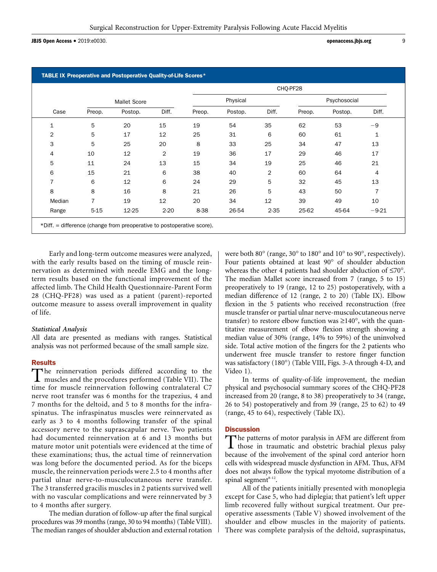**JBJS Open Access •** 2019:e0030. **operaccess.jbjs.org** 9

|                |                |                     |                | CHO-PF28 |         |                |              |         |              |  |  |
|----------------|----------------|---------------------|----------------|----------|---------|----------------|--------------|---------|--------------|--|--|
|                |                | <b>Mallet Score</b> |                | Physical |         |                | Psychosocial |         |              |  |  |
| Case           | Preop.         | Postop.             | Diff.          | Preop.   | Postop. | Diff.          | Preop.       | Postop. | Diff.        |  |  |
| $\mathbf 1$    | 5              | 20                  | 15             | 19       | 54      | 35             | 62           | 53      | -9           |  |  |
| $\overline{2}$ | 5              | 17                  | 12             | 25       | 31      | 6              | 60           | 61      | $\mathbf{1}$ |  |  |
| 3              | 5              | 25                  | 20             | 8        | 33      | 25             | 34           | 47      | 13           |  |  |
| 4              | 10             | 12                  | $\overline{2}$ | 19       | 36      | 17             | 29           | 46      | 17           |  |  |
| 5              | 11             | 24                  | 13             | 15       | 34      | 19             | 25           | 46      | 21           |  |  |
| 6              | 15             | 21                  | 6              | 38       | 40      | $\overline{2}$ | 60           | 64      | 4            |  |  |
| $\overline{7}$ | 6              | 12                  | 6              | 24       | 29      | 5              | 32           | 45      | 13           |  |  |
| 8              | 8              | 16                  | 8              | 21       | 26      | 5              | 43           | 50      | 7            |  |  |
| Median         | $\overline{7}$ | 19                  | 12             | 20       | 34      | 12             | 39           | 49      | 10           |  |  |
| Range          | $5 - 15$       | 12-25               | $2 - 20$       | 8-38     | 26-54   | $2 - 35$       | 25-62        | 45-64   | $-9-21$      |  |  |

Early and long-term outcome measures were analyzed, with the early results based on the timing of muscle reinnervation as determined with needle EMG and the longterm results based on the functional improvement of the affected limb. The Child Health Questionnaire-Parent Form 28 (CHQ-PF28) was used as a patient (parent)-reported outcome measure to assess overall improvement in quality of life.

#### Statistical Analysis

All data are presented as medians with ranges. Statistical analysis was not performed because of the small sample size.

# **Results**

The reinnervation periods differed according to the **L** muscles and the procedures performed (Table VII). The time for muscle reinnervation following contralateral C7 nerve root transfer was 6 months for the trapezius, 4 and 7 months for the deltoid, and 5 to 8 months for the infraspinatus. The infraspinatus muscles were reinnervated as early as 3 to 4 months following transfer of the spinal accessory nerve to the suprascapular nerve. Two patients had documented reinnervation at 6 and 13 months but mature motor unit potentials were evidenced at the time of these examinations; thus, the actual time of reinnervation was long before the documented period. As for the biceps muscle, the reinnervation periods were 2.5 to 4 months after partial ulnar nerve-to-musculocutaneous nerve transfer. The 3 transferred gracilis muscles in 2 patients survived well with no vascular complications and were reinnervated by 3 to 4 months after surgery.

The median duration of follow-up after the final surgical procedures was 39 months (range, 30 to 94 months) (Table VIII). The median ranges of shoulder abduction and external rotation were both 80 $\degree$  (range, 30 $\degree$  to 180 $\degree$  and 10 $\degree$  to 90 $\degree$ , respectively). Four patients obtained at least 90° of shoulder abduction whereas the other 4 patients had shoulder abduction of  $\leq 70^{\circ}$ . The median Mallet score increased from 7 (range, 5 to 15) preoperatively to 19 (range, 12 to 25) postoperatively, with a median difference of 12 (range, 2 to 20) (Table IX). Elbow flexion in the 5 patients who received reconstruction (free muscle transfer or partial ulnar nerve-musculocutaneous nerve transfer) to restore elbow function was  $\geq 140^{\circ}$ , with the quantitative measurement of elbow flexion strength showing a median value of 30% (range, 14% to 59%) of the uninvolved side. Total active motion of the fingers for the 2 patients who underwent free muscle transfer to restore finger function was satisfactory (180°) (Table VIII, Figs. 3-A through 4-D, and Video 1).

In terms of quality-of-life improvement, the median physical and psychosocial summary scores of the CHQ-PF28 increased from 20 (range, 8 to 38) preoperatively to 34 (range, 26 to 54) postoperatively and from 39 (range, 25 to 62) to 49 (range, 45 to 64), respectively (Table IX).

# **Discussion**

The patterns of motor paralysis in AFM are different from<br>those in traumatic and obstetric brachial plexus palsy because of the involvement of the spinal cord anterior horn cells with widespread muscle dysfunction in AFM. Thus, AFM does not always follow the typical myotome distribution of a spinal segment $8-12$ .

All of the patients initially presented with monoplegia except for Case 5, who had diplegia; that patient's left upper limb recovered fully without surgical treatment. Our preoperative assessments (Table V) showed involvement of the shoulder and elbow muscles in the majority of patients. There was complete paralysis of the deltoid, supraspinatus,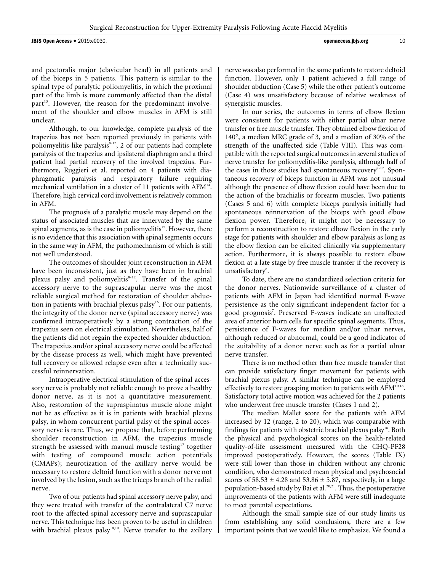JBJS Open Access <sup>d</sup> 2019:e0030. openaccess.jbjs.org <sup>10</sup>

nerve was also performed in the same patients to restore deltoid function. However, only 1 patient achieved a full range of shoulder abduction (Case 5) while the other patient's outcome (Case 4) was unsatisfactory because of relative weakness of synergistic muscles.

In our series, the outcomes in terms of elbow flexion were consistent for patients with either partial ulnar nerve transfer or free muscle transfer. They obtained elbow flexion of  $140^{\circ}$ , a median MRC grade of 3, and a median of 30% of the strength of the unaffected side (Table VIII). This was compatible with the reported surgical outcomes in several studies of nerve transfer for poliomyelitis-like paralysis, although half of the cases in those studies had spontaneous recovery $8-12$ . Spontaneous recovery of biceps function in AFM was not unusual although the presence of elbow flexion could have been due to the action of the brachialis or forearm muscles. Two patients (Cases 5 and 6) with complete biceps paralysis initially had spontaneous reinnervation of the biceps with good elbow flexion power. Therefore, it might not be necessary to perform a reconstruction to restore elbow flexion in the early stage for patients with shoulder and elbow paralysis as long as the elbow flexion can be elicited clinically via supplementary action. Furthermore, it is always possible to restore elbow flexion at a late stage by free muscle transfer if the recovery is unsatisfactory<sup>8</sup>.

To date, there are no standardized selection criteria for the donor nerves. Nationwide surveillance of a cluster of patients with AFM in Japan had identified normal F-wave persistence as the only significant independent factor for a good prognosis<sup>7</sup>. Preserved F-waves indicate an unaffected area of anterior horn cells for specific spinal segments. Thus, persistence of F-waves for median and/or ulnar nerves, although reduced or abnormal, could be a good indicator of the suitability of a donor nerve such as for a partial ulnar nerve transfer.

There is no method other than free muscle transfer that can provide satisfactory finger movement for patients with brachial plexus palsy. A similar technique can be employed effectively to restore grasping motion to patients with AFM<sup>10,18</sup>. Satisfactory total active motion was achieved for the 2 patients who underwent free muscle transfer (Cases 1 and 2).

The median Mallet score for the patients with AFM increased by 12 (range, 2 to 20), which was comparable with findings for patients with obstetric brachial plexus palsy<sup>18</sup>. Both the physical and psychological scores on the health-related quality-of-life assessment measured with the CHQ-PF28 improved postoperatively. However, the scores (Table IX) were still lower than those in children without any chronic condition, who demonstrated mean physical and psychosocial scores of  $58.53 \pm 4.28$  and  $53.86 \pm 5.87$ , respectively, in a large population-based study by Bai et al.<sup>20,21</sup>. Thus, the postoperative improvements of the patients with AFM were still inadequate to meet parental expectations.

Although the small sample size of our study limits us from establishing any solid conclusions, there are a few important points that we would like to emphasize. We found a

and pectoralis major (clavicular head) in all patients and of the biceps in 5 patients. This pattern is similar to the spinal type of paralytic poliomyelitis, in which the proximal part of the limb is more commonly affected than the distal part<sup>13</sup>. However, the reason for the predominant involvement of the shoulder and elbow muscles in AFM is still unclear.

Although, to our knowledge, complete paralysis of the trapezius has not been reported previously in patients with poliomyelitis-like paralysis $8-12$ , 2 of our patients had complete paralysis of the trapezius and ipsilateral diaphragm and a third patient had partial recovery of the involved trapezius. Furthermore, Ruggieri et al. reported on 4 patients with diaphragmatic paralysis and respiratory failure requiring mechanical ventilation in a cluster of 11 patients with AFM<sup>14</sup>. Therefore, high cervical cord involvement is relatively common in AFM.

The prognosis of a paralytic muscle may depend on the status of associated muscles that are innervated by the same spinal segments, as is the case in poliomyelitis<sup>15</sup>. However, there is no evidence that this association with spinal segments occurs in the same way in AFM, the pathomechanism of which is still not well understood.

The outcomes of shoulder joint reconstruction in AFM have been inconsistent, just as they have been in brachial plexus palsy and poliomyelitis<sup>8-12</sup>. Transfer of the spinal accessory nerve to the suprascapular nerve was the most reliable surgical method for restoration of shoulder abduction in patients with brachial plexus palsy<sup>16</sup>. For our patients, the integrity of the donor nerve (spinal accessory nerve) was confirmed intraoperatively by a strong contraction of the trapezius seen on electrical stimulation. Nevertheless, half of the patients did not regain the expected shoulder abduction. The trapezius and/or spinal accessory nerve could be affected by the disease process as well, which might have prevented full recovery or allowed relapse even after a technically successful reinnervation.

Intraoperative electrical stimulation of the spinal accessory nerve is probably not reliable enough to prove a healthy donor nerve, as it is not a quantitative measurement. Also, restoration of the supraspinatus muscle alone might not be as effective as it is in patients with brachial plexus palsy, in whom concurrent partial palsy of the spinal accessory nerve is rare. Thus, we propose that, before performing shoulder reconstruction in AFM, the trapezius muscle strength be assessed with manual muscle testing<sup>17</sup> together with testing of compound muscle action potentials (CMAPs); neurotization of the axillary nerve would be necessary to restore deltoid function with a donor nerve not involved by the lesion, such as the triceps branch of the radial nerve.

Two of our patients had spinal accessory nerve palsy, and they were treated with transfer of the contralateral C7 nerve root to the affected spinal accessory nerve and suprascapular nerve. This technique has been proven to be useful in children with brachial plexus palsy<sup>18,19</sup>. Nerve transfer to the axillary